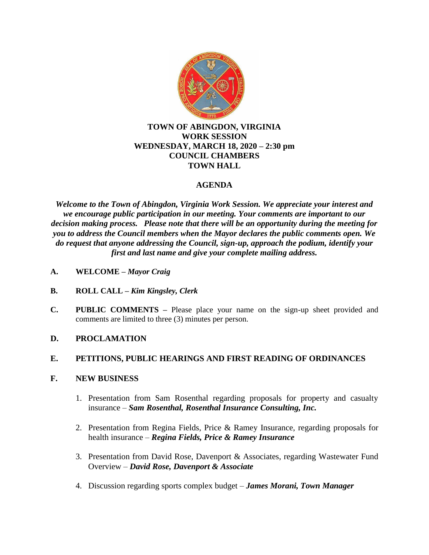

### **TOWN OF ABINGDON, VIRGINIA WORK SESSION WEDNESDAY, MARCH 18, 2020 – 2:30 pm COUNCIL CHAMBERS TOWN HALL**

# **AGENDA**

*Welcome to the Town of Abingdon, Virginia Work Session. We appreciate your interest and we encourage public participation in our meeting. Your comments are important to our decision making process. Please note that there will be an opportunity during the meeting for you to address the Council members when the Mayor declares the public comments open. We do request that anyone addressing the Council, sign-up, approach the podium, identify your first and last name and give your complete mailing address.*

- **A. WELCOME –** *Mayor Craig*
- **B. ROLL CALL –** *Kim Kingsley, Clerk*
- **C. PUBLIC COMMENTS –** Please place your name on the sign-up sheet provided and comments are limited to three (3) minutes per person.
- **D. PROCLAMATION**

## **E. PETITIONS, PUBLIC HEARINGS AND FIRST READING OF ORDINANCES**

#### **F. NEW BUSINESS**

- 1. Presentation from Sam Rosenthal regarding proposals for property and casualty insurance – *Sam Rosenthal, Rosenthal Insurance Consulting, Inc.*
- 2. Presentation from Regina Fields, Price & Ramey Insurance, regarding proposals for health insurance – *Regina Fields, Price & Ramey Insurance*
- 3. Presentation from David Rose, Davenport & Associates, regarding Wastewater Fund Overview – *David Rose, Davenport & Associate*
- 4. Discussion regarding sports complex budget *James Morani, Town Manager*